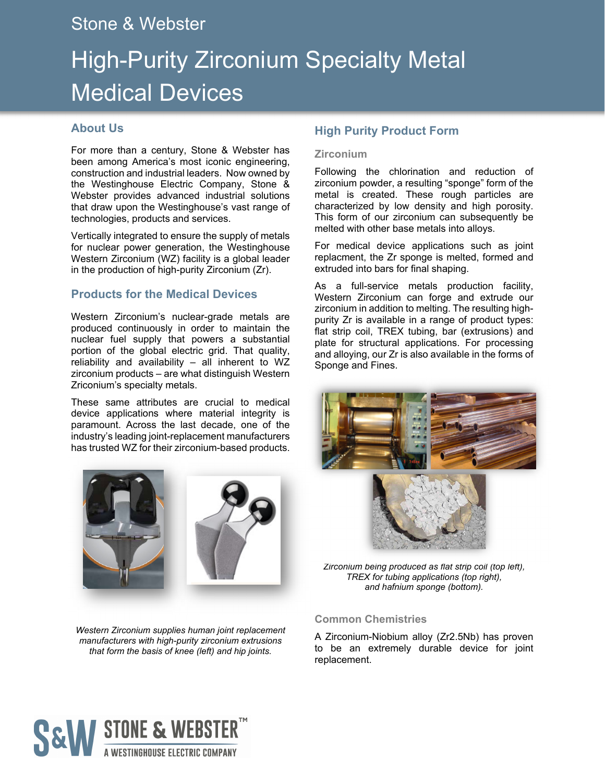# Stone & Webster

# High-Purity Zirconium Specialty Metal Medical Devices

# **About Us**

For more than a century, Stone & Webster has been among America's most iconic engineering, construction and industrial leaders. Now owned by the Westinghouse Electric Company, Stone & Webster provides advanced industrial solutions that draw upon the Westinghouse's vast range of technologies, products and services.

Vertically integrated to ensure the supply of metals for nuclear power generation, the Westinghouse Western Zirconium (WZ) facility is a global leader in the production of high-purity Zirconium (Zr).

### **Products for the Medical Devices**

Western Zirconium's nuclear-grade metals are produced continuously in order to maintain the nuclear fuel supply that powers a substantial portion of the global electric grid. That quality, reliability and availability – all inherent to WZ zirconium products – are what distinguish Western Zriconium's specialty metals.

These same attributes are crucial to medical device applications where material integrity is paramount. Across the last decade, one of the industry's leading joint-replacement manufacturers has trusted WZ for their zirconium-based products.



*Western Zirconium supplies human joint replacement manufacturers with high-purity zirconium extrusions that form the basis of knee (left) and hip joints.* 

# **High Purity Product Form**

#### **Zirconium**

Following the chlorination and reduction of zirconium powder, a resulting "sponge" form of the metal is created. These rough particles are characterized by low density and high porosity. This form of our zirconium can subsequently be melted with other base metals into alloys.

For medical device applications such as joint replacment, the Zr sponge is melted, formed and extruded into bars for final shaping.

As a full-service metals production facility, Western Zirconium can forge and extrude our zirconium in addition to melting. The resulting highpurity Zr is available in a range of product types: flat strip coil, TREX tubing, bar (extrusions) and plate for structural applications. For processing and alloying, our Zr is also available in the forms of Sponge and Fines.



*Zirconium being produced as flat strip coil (top left), TREX for tubing applications (top right), and hafnium sponge (bottom).* 

#### **Common Chemistries**

A Zirconium-Niobium alloy (Zr2.5Nb) has proven to be an extremely durable device for joint replacement.